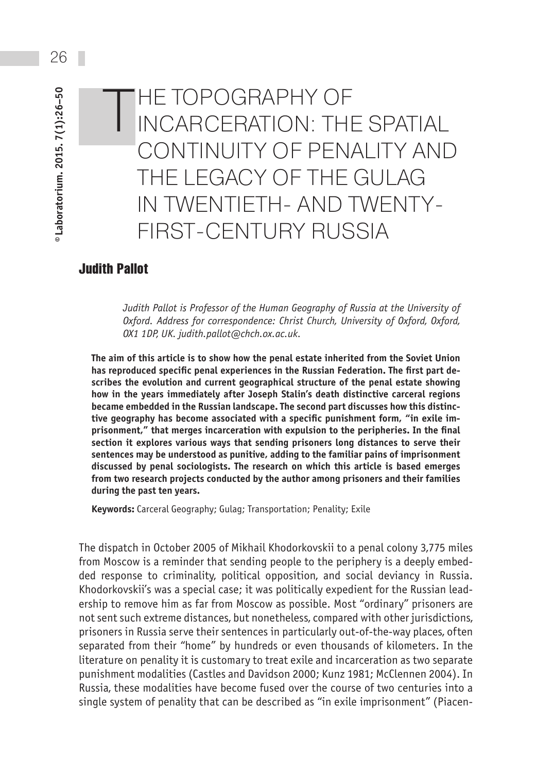# THE TOPOGRAPHY OF<br>INCARCERATION: THE SPATIAL Continuity of Penality and the Legacy of the Gulag in Twentieth- and Twenty-First-Century Russia

# **Judith Pallot**

*Judith Pallot is Professor of the Human Geography of Russia at the University of Oxford. Address for correspondence: Christ Church, University of Oxford, Oxford, OX1 1DP, UK. judith.pallot@chch.ox.ac.uk.*

**The aim of this article is to show how the penal estate inherited from the Soviet Union has reproduced specific penal experiences in the Russian Federation. The first part describes the evolution and current geographical structure of the penal estate showing how in the years immediately after Joseph Stalin's death distinctive carceral regions became embedded in the Russian landscape. The second part discusses how this distinctive geography has become associated with a specific punishment form, "in exile imprisonment," that merges incarceration with expulsion to the peripheries. In the final section it explores various ways that sending prisoners long distances to serve their sentences may be understood as punitive, adding to the familiar pains of imprisonment discussed by penal sociologists. The research on which this article is based emerges from two research projects conducted by the author among prisoners and their families during the past ten years.** 

**Keywords:** Carceral Geography; Gulag; Transportation; Penality; Exile

The dispatch in October 2005 of Mikhail Khodorkovskii to a penal colony 3,775 miles from Moscow is a reminder that sending people to the periphery is a deeply embedded response to criminality, political opposition, and social deviancy in Russia. Khodorkovskii's was a special case; it was politically expedient for the Russian leadership to remove him as far from Moscow as possible. Most "ordinary" prisoners are not sent such extreme distances, but nonetheless, compared with other jurisdictions, prisoners in Russia serve their sentences in particularly out-of-the-way places, often separated from their "home" by hundreds or even thousands of kilometers. In the literature on penality it is customary to treat exile and incarceration as two separate punishment modalities (Castles and Davidson 2000; Kunz 1981; McClennen 2004). In Russia, these modalities have become fused over the course of two centuries into a single system of penality that can be described as "in exile imprisonment" (Piacen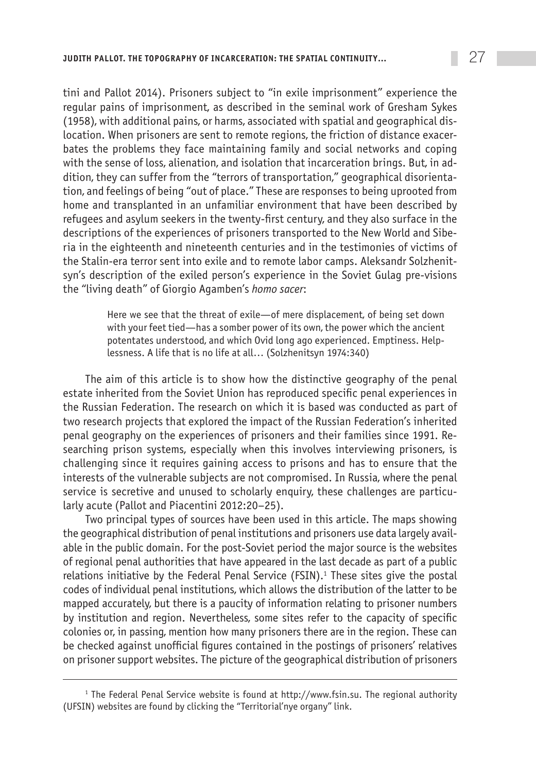tini and Pallot 2014). Prisoners subject to "in exile imprisonment" experience the regular pains of imprisonment, as described in the seminal work of Gresham Sykes (1958), with additional pains, or harms, associated with spatial and geographical dislocation. When prisoners are sent to remote regions, the friction of distance exacerbates the problems they face maintaining family and social networks and coping with the sense of loss, alienation, and isolation that incarceration brings. But, in addition, they can suffer from the "terrors of transportation," geographical disorientation, and feelings of being "out of place." These are responses to being uprooted from home and transplanted in an unfamiliar environment that have been described by refugees and asylum seekers in the twenty-first century, and they also surface in the descriptions of the experiences of prisoners transported to the New World and Siberia in the eighteenth and nineteenth centuries and in the testimonies of victims of the Stalin-era terror sent into exile and to remote labor camps. Aleksandr Solzhenitsyn's description of the exiled person's experience in the Soviet Gulag pre-visions the "living death" of Giorgio Agamben's *homo sacer*:

> Here we see that the threat of exile—of mere displacement, of being set down with your feet tied—has a somber power of its own, the power which the ancient potentates understood, and which Ovid long ago experienced. Emptiness. Helplessness. A life that is no life at all… (Solzhenitsyn 1974:340)

The aim of this article is to show how the distinctive geography of the penal estate inherited from the Soviet Union has reproduced specific penal experiences in the Russian Federation. The research on which it is based was conducted as part of two research projects that explored the impact of the Russian Federation's inherited penal geography on the experiences of prisoners and their families since 1991. Researching prison systems, especially when this involves interviewing prisoners, is challenging since it requires gaining access to prisons and has to ensure that the interests of the vulnerable subjects are not compromised. In Russia, where the penal service is secretive and unused to scholarly enquiry, these challenges are particularly acute (Pallot and Piacentini 2012:20–25).

Two principal types of sources have been used in this article. The maps showing the geographical distribution of penal institutions and prisoners use data largely available in the public domain. For the post-Soviet period the major source is the websites of regional penal authorities that have appeared in the last decade as part of a public relations initiative by the Federal Penal Service (FSIN).<sup>1</sup> These sites give the postal codes of individual penal institutions, which allows the distribution of the latter to be mapped accurately, but there is a paucity of information relating to prisoner numbers by institution and region. Nevertheless, some sites refer to the capacity of specific colonies or, in passing, mention how many prisoners there are in the region. These can be checked against unofficial figures contained in the postings of prisoners' relatives on prisoner support websites. The picture of the geographical distribution of prisoners

<sup>1</sup> The Federal Penal Service website is found at http://www.fsin.su. The regional authority (UFSIN) websites are found by clicking the "Territorial'nye organy" link.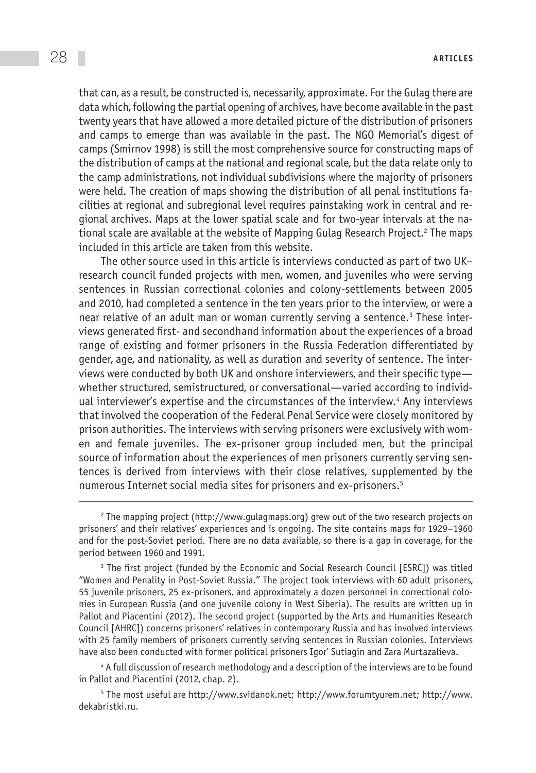that can, as a result, be constructed is, necessarily, approximate. For the Gulag there are data which, following the partial opening of archives, have become available in the past twenty years that have allowed a more detailed picture of the distribution of prisoners and camps to emerge than was available in the past. The NGO Memorial's digest of camps (Smirnov 1998) is still the most comprehensive source for constructing maps of the distribution of camps at the national and regional scale, but the data relate only to the camp administrations, not individual subdivisions where the majority of prisoners were held. The creation of maps showing the distribution of all penal institutions facilities at regional and subregional level requires painstaking work in central and regional archives. Maps at the lower spatial scale and for two-year intervals at the national scale are available at the website of Mapping Gulag Research Project.<sup>2</sup> The maps included in this article are taken from this website.

The other source used in this article is interviews conducted as part of two UK– research council funded projects with men, women, and juveniles who were serving sentences in Russian correctional colonies and colony-settlements between 2005 and 2010, had completed a sentence in the ten years prior to the interview, or were a near relative of an adult man or woman currently serving a sentence.<sup>3</sup> These interviews generated first- and secondhand information about the experiences of a broad range of existing and former prisoners in the Russia Federation differentiated by gender, age, and nationality, as well as duration and severity of sentence. The interviews were conducted by both UK and onshore interviewers, and their specific type whether structured, semistructured, or conversational—varied according to individual interviewer's expertise and the circumstances of the interview.<sup>4</sup> Any interviews that involved the cooperation of the Federal Penal Service were closely monitored by prison authorities. The interviews with serving prisoners were exclusively with women and female juveniles. The ex-prisoner group included men, but the principal source of information about the experiences of men prisoners currently serving sentences is derived from interviews with their close relatives, supplemented by the numerous Internet social media sites for prisoners and ex-prisoners.5

4 A full discussion of research methodology and a description of the interviews are to be found in Pallot and Piacentini (2012, chap. 2).

5 The most useful are http://www.svidanok.net; http://www.forumtyurem.net; http://www. dekabristki.ru.

<sup>2</sup> The mapping project (http://www.gulagmaps.org) grew out of the two research projects on prisoners' and their relatives' experiences and is ongoing. The site contains maps for 1929–1960 and for the post-Soviet period. There are no data available, so there is a gap in coverage, for the period between 1960 and 1991.

<sup>3</sup> The first project (funded by the Economic and Social Research Council [ESRC]) was titled "Women and Penality in Post-Soviet Russia." The project took interviews with 60 adult prisoners, 55 juvenile prisoners, 25 ex-prisoners, and approximately a dozen personnel in correctional colonies in European Russia (and one juvenile colony in West Siberia). The results are written up in Pallot and Piacentini (2012). The second project (supported by the Arts and Humanities Research Council [AHRC]) concerns prisoners' relatives in contemporary Russia and has involved interviews with 25 family members of prisoners currently serving sentences in Russian colonies. Interviews have also been conducted with former political prisoners Igor' Sutiagin and Zara Murtazalieva.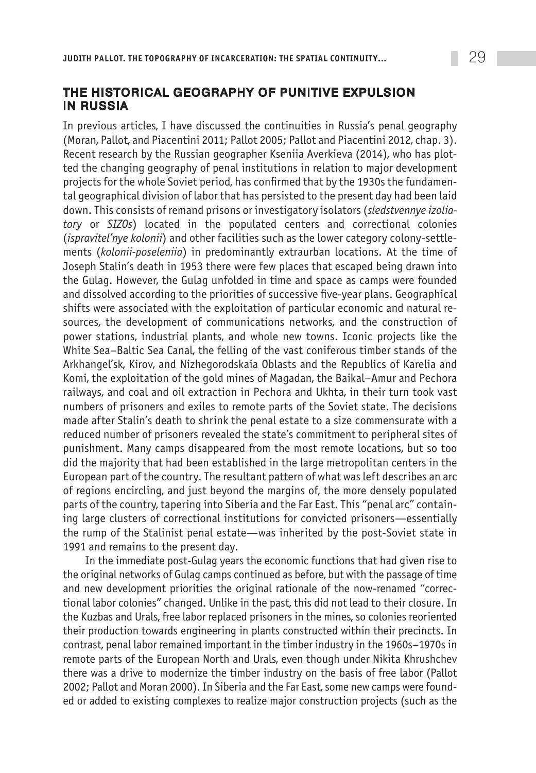#### The Historical Geography of Punitive Expulsion in Russia

In previous articles, I have discussed the continuities in Russia's penal geography (Moran, Pallot, and Piacentini 2011; Pallot 2005; Pallot and Piacentini 2012, chap. 3). Recent research by the Russian geographer Kseniia Averkieva (2014), who has plotted the changing geography of penal institutions in relation to major development projects for the whole Soviet period, has confirmed that by the 1930s the fundamental geographical division of labor that has persisted to the present day had been laid down. This consists of remand prisons or investigatory isolators (*sledstvennye izoliatory* or *SIZOs*) located in the populated centers and correctional colonies (*ispravitel'nye kolonii*) and other facilities such as the lower category colony-settlements (*kolonii-poseleniia*) in predominantly extraurban locations. At the time of Joseph Stalin's death in 1953 there were few places that escaped being drawn into the Gulag. However, the Gulag unfolded in time and space as camps were founded and dissolved according to the priorities of successive five-year plans. Geographical shifts were associated with the exploitation of particular economic and natural resources, the development of communications networks, and the construction of power stations, industrial plants, and whole new towns. Iconic projects like the White Sea–Baltic Sea Canal, the felling of the vast coniferous timber stands of the Arkhangel'sk, Kirov, and Nizhegorodskaia Oblasts and the Republics of Karelia and Komi, the exploitation of the gold mines of Magadan, the Baikal–Amur and Pechora railways, and coal and oil extraction in Pechora and Ukhta, in their turn took vast numbers of prisoners and exiles to remote parts of the Soviet state. The decisions made after Stalin's death to shrink the penal estate to a size commensurate with a reduced number of prisoners revealed the state's commitment to peripheral sites of punishment. Many camps disappeared from the most remote locations, but so too did the majority that had been established in the large metropolitan centers in the European part of the country. The resultant pattern of what was left describes an arc of regions encircling, and just beyond the margins of, the more densely populated parts of the country, tapering into Siberia and the Far East. This "penal arc" containing large clusters of correctional institutions for convicted prisoners—essentially the rump of the Stalinist penal estate—was inherited by the post-Soviet state in 1991 and remains to the present day.

In the immediate post-Gulag years the economic functions that had given rise to the original networks of Gulag camps continued as before, but with the passage of time and new development priorities the original rationale of the now-renamed "correctional labor colonies" changed. Unlike in the past, this did not lead to their closure. In the Kuzbas and Urals, free labor replaced prisoners in the mines, so colonies reoriented their production towards engineering in plants constructed within their precincts. In contrast, penal labor remained important in the timber industry in the 1960s–1970s in remote parts of the European North and Urals, even though under Nikita Khrushchev there was a drive to modernize the timber industry on the basis of free labor (Pallot 2002; Pallot and Moran 2000). In Siberia and the Far East, some new camps were founded or added to existing complexes to realize major construction projects (such as the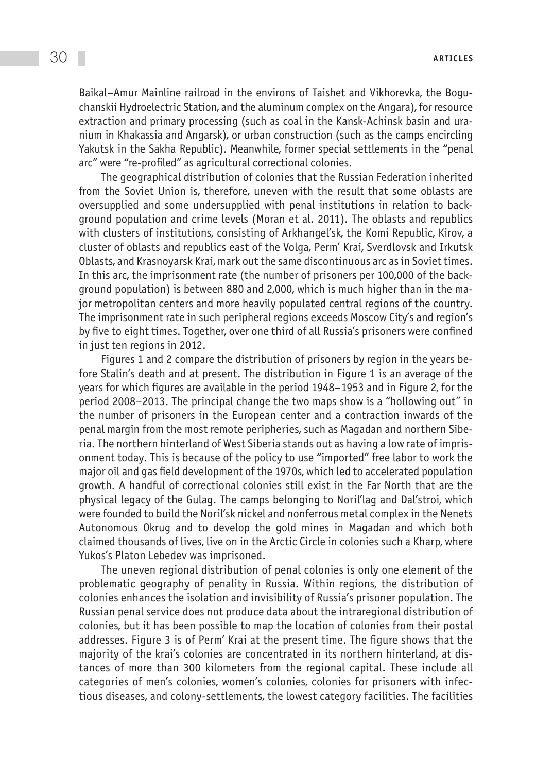Baikal–Amur Mainline railroad in the environs of Taishet and Vikhorevka, the Boguchanskii Hydroelectric Station, and the aluminum complex on the Angara), for resource extraction and primary processing (such as coal in the Kansk-Achinsk basin and uranium in Khakassia and Angarsk), or urban construction (such as the camps encircling Yakutsk in the Sakha Republic). Meanwhile, former special settlements in the "penal arc" were "re-profiled" as agricultural correctional colonies.

The geographical distribution of colonies that the Russian Federation inherited from the Soviet Union is, therefore, uneven with the result that some oblasts are oversupplied and some undersupplied with penal institutions in relation to background population and crime levels (Moran et al. 2011). The oblasts and republics with clusters of institutions, consisting of Arkhangel'sk, the Komi Republic, Kirov, a cluster of oblasts and republics east of the Volga, Perm' Krai, Sverdlovsk and Irkutsk Oblasts, and Krasnoyarsk Krai, mark out the same discontinuous arc as in Soviet times. In this arc, the imprisonment rate (the number of prisoners per 100,000 of the background population) is between 880 and 2,000, which is much higher than in the major metropolitan centers and more heavily populated central regions of the country. The imprisonment rate in such peripheral regions exceeds Moscow City's and region's by five to eight times. Together, over one third of all Russia's prisoners were confined in just ten regions in 2012.

Figures 1 and 2 compare the distribution of prisoners by region in the years before Stalin's death and at present. The distribution in Figure 1 is an average of the years for which figures are available in the period 1948–1953 and in Figure 2, for the period 2008–2013. The principal change the two maps show is a "hollowing out" in the number of prisoners in the European center and a contraction inwards of the penal margin from the most remote peripheries, such as Magadan and northern Siberia. The northern hinterland of West Siberia stands out as having a low rate of imprisonment today. This is because of the policy to use "imported" free labor to work the major oil and gas field development of the 1970s, which led to accelerated population growth. A handful of correctional colonies still exist in the Far North that are the physical legacy of the Gulag. The camps belonging to Noril'lag and Dal'stroi, which were founded to build the Noril'sk nickel and nonferrous metal complex in the Nenets Autonomous Okrug and to develop the gold mines in Magadan and which both claimed thousands of lives, live on in the Arctic Circle in colonies such a Kharp, where Yukos's Platon Lebedev was imprisoned.

The uneven regional distribution of penal colonies is only one element of the problematic geography of penality in Russia. Within regions, the distribution of colonies enhances the isolation and invisibility of Russia's prisoner population. The Russian penal service does not produce data about the intraregional distribution of colonies, but it has been possible to map the location of colonies from their postal addresses. Figure 3 is of Perm' Krai at the present time. The figure shows that the majority of the krai's colonies are concentrated in its northern hinterland, at distances of more than 300 kilometers from the regional capital. These include all categories of men's colonies, women's colonies, colonies for prisoners with infectious diseases, and colony-settlements, the lowest category facilities. The facilities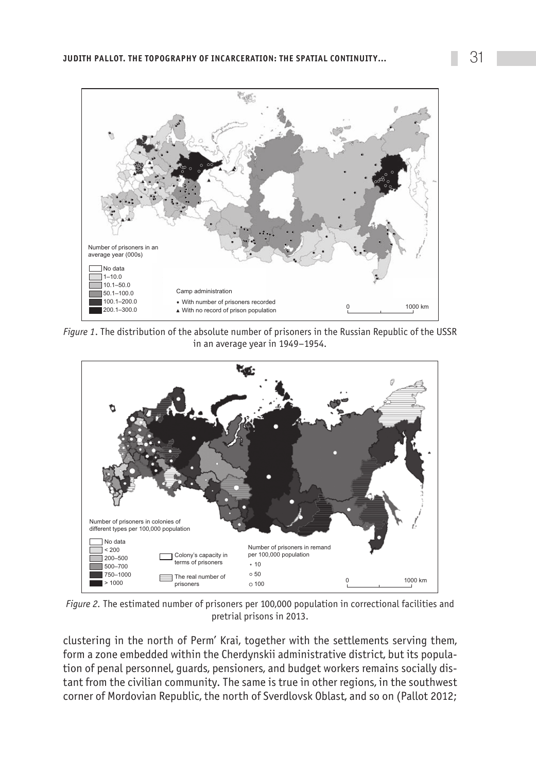

*Figure 1*. The distribution of the absolute number of prisoners in the Russian Republic of the USSR in an average year in 1949–1954.



*Figure 2.* The estimated number of prisoners per 100,000 population in correctional facilities and pretrial prisons in 2013.

clustering in the north of Perm' Krai, together with the settlements serving them, form a zone embedded within the Cherdynskii administrative district, but its population of penal personnel, guards, pensioners, and budget workers remains socially distant from the civilian community. The same is true in other regions, in the southwest corner of Mordovian Republic, the north of Sverdlovsk Oblast, and so on (Pallot 2012;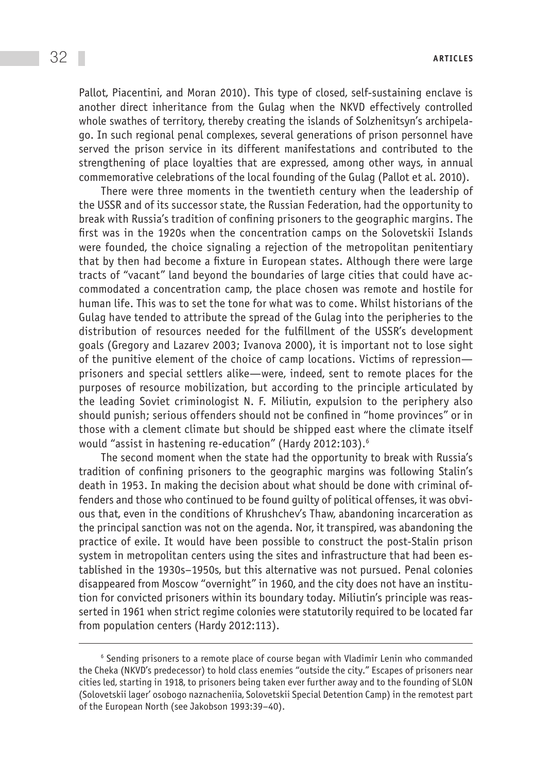Pallot, Piacentini, and Moran 2010). This type of closed, self-sustaining enclave is another direct inheritance from the Gulag when the NKVD effectively controlled whole swathes of territory, thereby creating the islands of Solzhenitsyn's archipelago. In such regional penal complexes, several generations of prison personnel have served the prison service in its different manifestations and contributed to the strengthening of place loyalties that are expressed, among other ways, in annual commemorative celebrations of the local founding of the Gulag (Pallot et al. 2010).

There were three moments in the twentieth century when the leadership of the USSR and of its successor state, the Russian Federation, had the opportunity to break with Russia's tradition of confining prisoners to the geographic margins. The first was in the 1920s when the concentration camps on the Solovetskii Islands were founded, the choice signaling a rejection of the metropolitan penitentiary that by then had become a fixture in European states. Although there were large tracts of "vacant" land beyond the boundaries of large cities that could have accommodated a concentration camp, the place chosen was remote and hostile for human life. This was to set the tone for what was to come. Whilst historians of the Gulag have tended to attribute the spread of the Gulag into the peripheries to the distribution of resources needed for the fulfillment of the USSR's development goals (Gregory and Lazarev 2003; Ivanova 2000), it is important not to lose sight of the punitive element of the choice of camp locations. Victims of repression prisoners and special settlers alike—were, indeed, sent to remote places for the purposes of resource mobilization, but according to the principle articulated by the leading Soviet criminologist N. F. Miliutin, expulsion to the periphery also should punish; serious offenders should not be confined in "home provinces" or in those with a clement climate but should be shipped east where the climate itself would "assist in hastening re-education" (Hardy 2012:103).<sup>6</sup>

The second moment when the state had the opportunity to break with Russia's tradition of confining prisoners to the geographic margins was following Stalin's death in 1953. In making the decision about what should be done with criminal offenders and those who continued to be found guilty of political offenses, it was obvious that, even in the conditions of Khrushchev's Thaw, abandoning incarceration as the principal sanction was not on the agenda. Nor, it transpired, was abandoning the practice of exile. It would have been possible to construct the post-Stalin prison system in metropolitan centers using the sites and infrastructure that had been established in the 1930s–1950s, but this alternative was not pursued. Penal colonies disappeared from Moscow "overnight" in 1960, and the city does not have an institution for convicted prisoners within its boundary today. Miliutin's principle was reasserted in 1961 when strict regime colonies were statutorily required to be located far from population centers (Hardy 2012:113).

<sup>&</sup>lt;sup>6</sup> Sending prisoners to a remote place of course began with Vladimir Lenin who commanded the Cheka (NKVD's predecessor) to hold class enemies "outside the city." Escapes of prisoners near cities led, starting in 1918, to prisoners being taken ever further away and to the founding of SLON (Solovetskii lager' osobogo naznacheniia, Solovetskii Special Detention Camp) in the remotest part of the European North (see Jakobson 1993:39–40).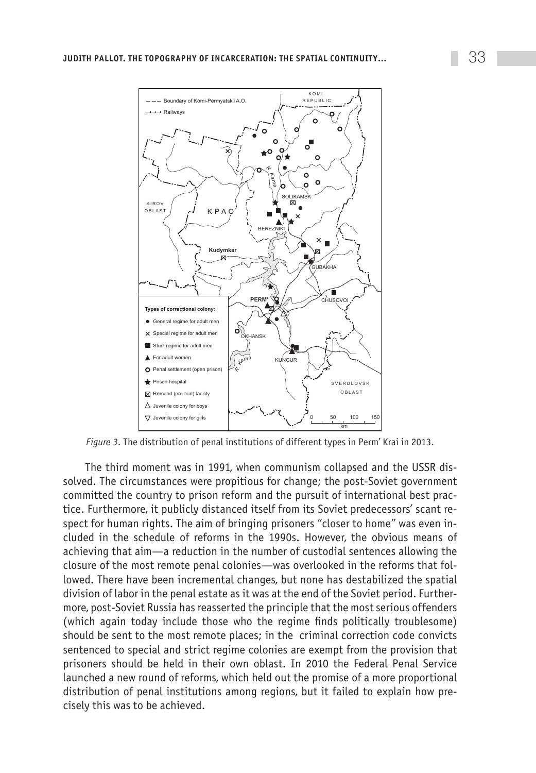

*Figure 3*. The distribution of penal institutions of different types in Perm' Krai in 2013.

The third moment was in 1991, when communism collapsed and the USSR dissolved. The circumstances were propitious for change; the post-Soviet government committed the country to prison reform and the pursuit of international best practice. Furthermore, it publicly distanced itself from its Soviet predecessors' scant respect for human rights. The aim of bringing prisoners "closer to home" was even included in the schedule of reforms in the 1990s. However, the obvious means of achieving that aim—a reduction in the number of custodial sentences allowing the closure of the most remote penal colonies—was overlooked in the reforms that followed. There have been incremental changes, but none has destabilized the spatial division of labor in the penal estate as it was at the end of the Soviet period. Furthermore, post-Soviet Russia has reasserted the principle that the most serious offenders (which again today include those who the regime finds politically troublesome) should be sent to the most remote places; in the criminal correction code convicts sentenced to special and strict regime colonies are exempt from the provision that prisoners should be held in their own oblast. In 2010 the Federal Penal Service launched a new round of reforms, which held out the promise of a more proportional distribution of penal institutions among regions, but it failed to explain how precisely this was to be achieved.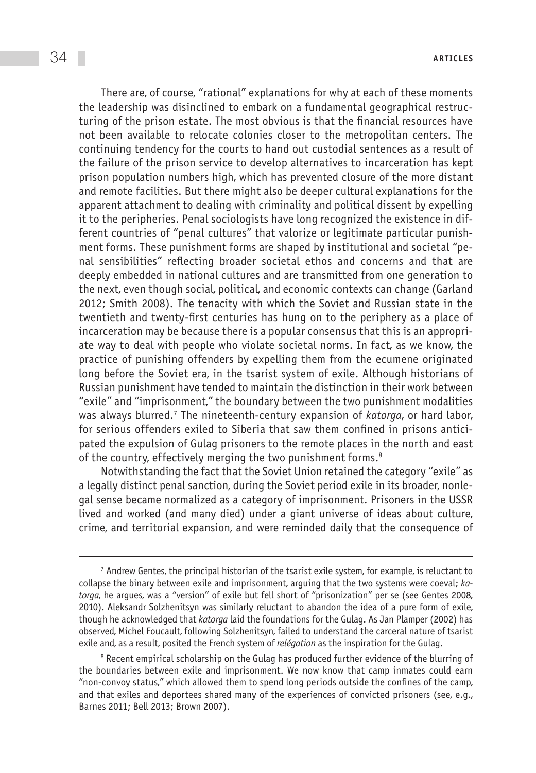There are, of course, "rational" explanations for why at each of these moments the leadership was disinclined to embark on a fundamental geographical restructuring of the prison estate. The most obvious is that the financial resources have not been available to relocate colonies closer to the metropolitan centers. The continuing tendency for the courts to hand out custodial sentences as a result of the failure of the prison service to develop alternatives to incarceration has kept prison population numbers high, which has prevented closure of the more distant and remote facilities. But there might also be deeper cultural explanations for the apparent attachment to dealing with criminality and political dissent by expelling it to the peripheries. Penal sociologists have long recognized the existence in different countries of "penal cultures" that valorize or legitimate particular punishment forms. These punishment forms are shaped by institutional and societal "penal sensibilities" reflecting broader societal ethos and concerns and that are deeply embedded in national cultures and are transmitted from one generation to the next, even though social, political, and economic contexts can change (Garland 2012; Smith 2008). The tenacity with which the Soviet and Russian state in the twentieth and twenty-first centuries has hung on to the periphery as a place of incarceration may be because there is a popular consensus that this is an appropriate way to deal with people who violate societal norms. In fact, as we know, the practice of punishing offenders by expelling them from the ecumene originated long before the Soviet era, in the tsarist system of exile. Although historians of Russian punishment have tended to maintain the distinction in their work between "exile" and "imprisonment," the boundary between the two punishment modalities was always blurred.7 The nineteenth-century expansion of *katorga*, or hard labor, for serious offenders exiled to Siberia that saw them confined in prisons anticipated the expulsion of Gulag prisoners to the remote places in the north and east of the country, effectively merging the two punishment forms.<sup>8</sup>

Notwithstanding the fact that the Soviet Union retained the category "exile" as a legally distinct penal sanction, during the Soviet period exile in its broader, nonlegal sense became normalized as a category of imprisonment. Prisoners in the USSR lived and worked (and many died) under a giant universe of ideas about culture, crime, and territorial expansion, and were reminded daily that the consequence of

<sup>7</sup> Andrew Gentes, the principal historian of the tsarist exile system, for example, is reluctant to collapse the binary between exile and imprisonment, arguing that the two systems were coeval; *katorga*, he argues, was a "version" of exile but fell short of "prisonization" per se (see Gentes 2008, 2010). Aleksandr Solzhenitsyn was similarly reluctant to abandon the idea of a pure form of exile, though he acknowledged that *katorga* laid the foundations for the Gulag. As Jan Plamper (2002) has observed, Michel Foucault, following Solzhenitsyn, failed to understand the carceral nature of tsarist exile and, as a result, posited the French system of *relégation* as the inspiration for the Gulag.

<sup>&</sup>lt;sup>8</sup> Recent empirical scholarship on the Gulag has produced further evidence of the blurring of the boundaries between exile and imprisonment. We now know that camp inmates could earn "non-convoy status," which allowed them to spend long periods outside the confines of the camp, and that exiles and deportees shared many of the experiences of convicted prisoners (see, e.g., Barnes 2011; Bell 2013; Brown 2007).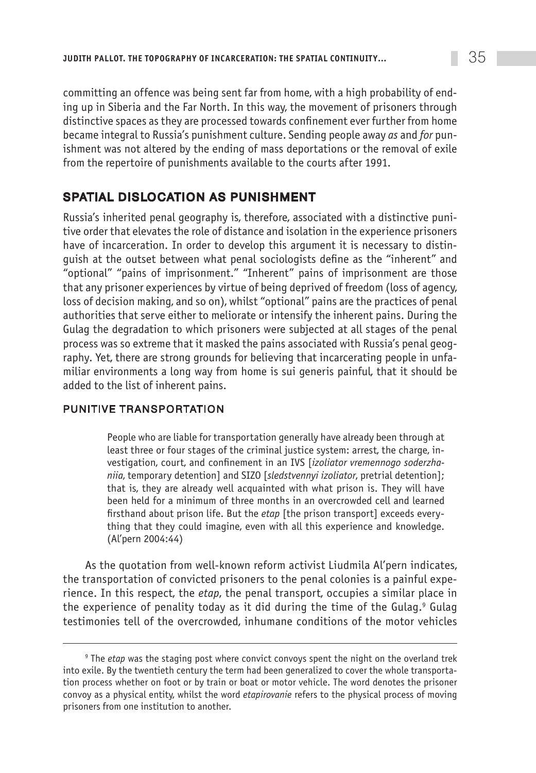committing an offence was being sent far from home, with a high probability of ending up in Siberia and the Far North. In this way, the movement of prisoners through distinctive spaces as they are processed towards confinement ever further from home became integral to Russia's punishment culture. Sending people away *as* and *for* punishment was not altered by the ending of mass deportations or the removal of exile from the repertoire of punishments available to the courts after 1991.

# Spatial Dislocation as Punishment

Russia's inherited penal geography is, therefore, associated with a distinctive punitive order that elevates the role of distance and isolation in the experience prisoners have of incarceration. In order to develop this argument it is necessary to distinguish at the outset between what penal sociologists define as the "inherent" and "optional" "pains of imprisonment." "Inherent" pains of imprisonment are those that any prisoner experiences by virtue of being deprived of freedom (loss of agency, loss of decision making, and so on), whilst "optional" pains are the practices of penal authorities that serve either to meliorate or intensify the inherent pains. During the Gulag the degradation to which prisoners were subjected at all stages of the penal process was so extreme that it masked the pains associated with Russia's penal geography. Yet, there are strong grounds for believing that incarcerating people in unfamiliar environments a long way from home is sui generis painful, that it should be added to the list of inherent pains.

# Punitive transportation

People who are liable for transportation generally have already been through at least three or four stages of the criminal justice system: arrest, the charge, investigation, court, and confinement in an IVS [*izoliator vremennogo soderzhaniia*, temporary detention] and SIZO [*sledstvennyi izoliator*, pretrial detention]; that is, they are already well acquainted with what prison is. They will have been held for a minimum of three months in an overcrowded cell and learned firsthand about prison life. But the *etap* [the prison transport] exceeds everything that they could imagine, even with all this experience and knowledge. (Al'pern 2004:44)

As the quotation from well-known reform activist Liudmila Al'pern indicates, the transportation of convicted prisoners to the penal colonies is a painful experience. In this respect, the *etap*, the penal transport, occupies a similar place in the experience of penality today as it did during the time of the Gulag. $^{\circ}$  Gulag testimonies tell of the overcrowded, inhumane conditions of the motor vehicles

<sup>9</sup> The *etap* was the staging post where convict convoys spent the night on the overland trek into exile. By the twentieth century the term had been generalized to cover the whole transportation process whether on foot or by train or boat or motor vehicle. The word denotes the prisoner convoy as a physical entity, whilst the word *etapirovanie* refers to the physical process of moving prisoners from one institution to another.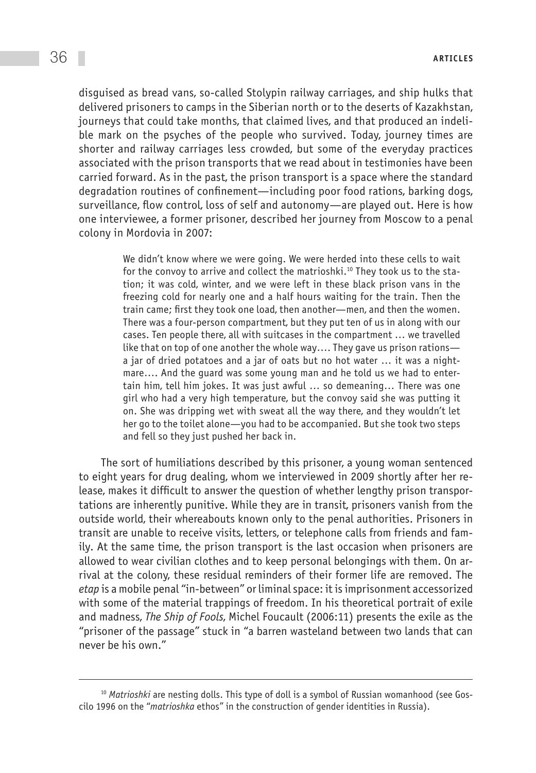disguised as bread vans, so-called Stolypin railway carriages, and ship hulks that delivered prisoners to camps in the Siberian north or to the deserts of Kazakhstan, journeys that could take months, that claimed lives, and that produced an indelible mark on the psyches of the people who survived. Today, journey times are shorter and railway carriages less crowded, but some of the everyday practices associated with the prison transports that we read about in testimonies have been carried forward. As in the past, the prison transport is a space where the standard degradation routines of confinement—including poor food rations, barking dogs, surveillance, flow control, loss of self and autonomy—are played out. Here is how one interviewee, a former prisoner, described her journey from Moscow to a penal colony in Mordovia in 2007:

> We didn't know where we were going. We were herded into these cells to wait for the convoy to arrive and collect the matrioshki.<sup>10</sup> They took us to the station; it was cold, winter, and we were left in these black prison vans in the freezing cold for nearly one and a half hours waiting for the train. Then the train came; first they took one load, then another—men, and then the women. There was a four-person compartment, but they put ten of us in along with our cases. Ten people there, all with suitcases in the compartment … we travelled like that on top of one another the whole way…. They gave us prison rations a jar of dried potatoes and a jar of oats but no hot water … it was a nightmare…. And the guard was some young man and he told us we had to entertain him, tell him jokes. It was just awful … so demeaning… There was one girl who had a very high temperature, but the convoy said she was putting it on. She was dripping wet with sweat all the way there, and they wouldn't let her go to the toilet alone—you had to be accompanied. But she took two steps and fell so they just pushed her back in.

The sort of humiliations described by this prisoner, a young woman sentenced to eight years for drug dealing, whom we interviewed in 2009 shortly after her release, makes it difficult to answer the question of whether lengthy prison transportations are inherently punitive. While they are in transit, prisoners vanish from the outside world, their whereabouts known only to the penal authorities. Prisoners in transit are unable to receive visits, letters, or telephone calls from friends and family. At the same time, the prison transport is the last occasion when prisoners are allowed to wear civilian clothes and to keep personal belongings with them. On arrival at the colony, these residual reminders of their former life are removed. The *etap* is a mobile penal "in-between" or liminal space: it is imprisonment accessorized with some of the material trappings of freedom. In his theoretical portrait of exile and madness, *The Ship of Fools*, Michel Foucault (2006:11) presents the exile as the "prisoner of the passage" stuck in "a barren wasteland between two lands that can never be his own."

<sup>&</sup>lt;sup>10</sup> Matrioshki are nesting dolls. This type of doll is a symbol of Russian womanhood (see Goscilo 1996 on the "*matrioshka* ethos" in the construction of gender identities in Russia).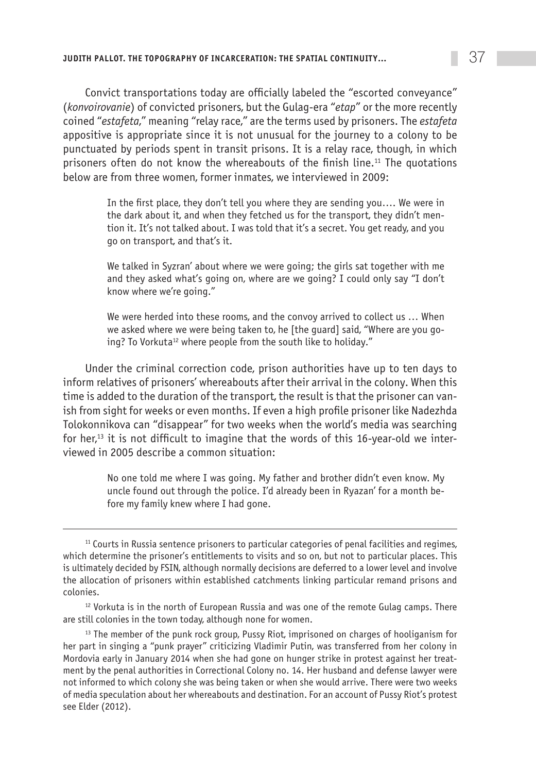Convict transportations today are officially labeled the "escorted conveyance" (*konvoirovanie*) of convicted prisoners, but the Gulag-era "*etap*" or the more recently coined "*estafeta*," meaning "relay race," are the terms used by prisoners. The *estafeta* appositive is appropriate since it is not unusual for the journey to a colony to be punctuated by periods spent in transit prisons. It is a relay race, though, in which prisoners often do not know the whereabouts of the finish line.<sup>11</sup> The quotations below are from three women, former inmates, we interviewed in 2009:

> In the first place, they don't tell you where they are sending you…. We were in the dark about it, and when they fetched us for the transport, they didn't mention it. It's not talked about. I was told that it's a secret. You get ready, and you go on transport, and that's it.

> We talked in Syzran' about where we were going; the girls sat together with me and they asked what's going on, where are we going? I could only say "I don't know where we're going."

> We were herded into these rooms, and the convoy arrived to collect us … When we asked where we were being taken to, he [the guard] said, "Where are you going? To Vorkuta<sup>12</sup> where people from the south like to holiday."

Under the criminal correction code, prison authorities have up to ten days to inform relatives of prisoners' whereabouts after their arrival in the colony. When this time is added to the duration of the transport, the result is that the prisoner can vanish from sight for weeks or even months. If even a high profile prisoner like Nadezhda Tolokonnikova can "disappear" for two weeks when the world's media was searching for her,<sup>13</sup> it is not difficult to imagine that the words of this 16-year-old we interviewed in 2005 describe a common situation:

> No one told me where I was going. My father and brother didn't even know. My uncle found out through the police. I'd already been in Ryazan' for a month before my family knew where I had gone.

<sup>&</sup>lt;sup>11</sup> Courts in Russia sentence prisoners to particular categories of penal facilities and regimes, which determine the prisoner's entitlements to visits and so on, but not to particular places. This is ultimately decided by FSIN, although normally decisions are deferred to a lower level and involve the allocation of prisoners within established catchments linking particular remand prisons and colonies.

<sup>&</sup>lt;sup>12</sup> Vorkuta is in the north of European Russia and was one of the remote Gulag camps. There are still colonies in the town today, although none for women.

<sup>&</sup>lt;sup>13</sup> The member of the punk rock group, Pussy Riot, imprisoned on charges of hooliganism for her part in singing a "punk prayer" criticizing Vladimir Putin, was transferred from her colony in Mordovia early in January 2014 when she had gone on hunger strike in protest against her treatment by the penal authorities in Correctional Colony no. 14. Her husband and defense lawyer were not informed to which colony she was being taken or when she would arrive. There were two weeks of media speculation about her whereabouts and destination. For an account of Pussy Riot's protest see Elder (2012).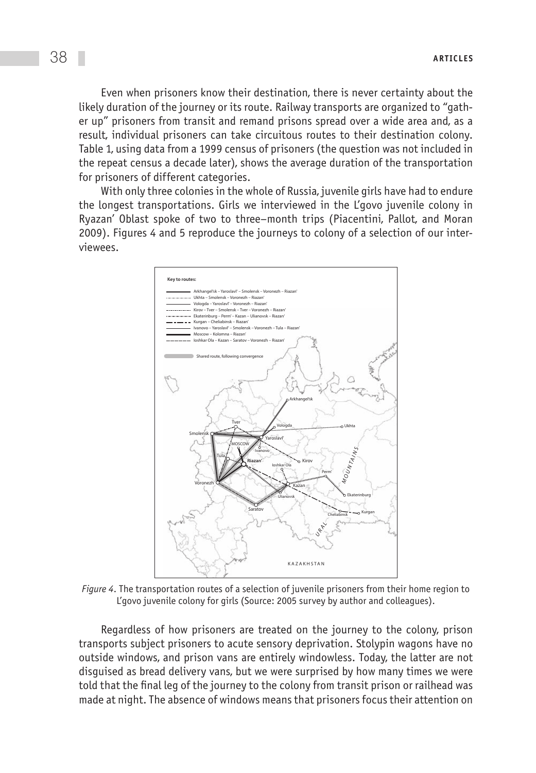Even when prisoners know their destination, there is never certainty about the likely duration of the journey or its route. Railway transports are organized to "gather up" prisoners from transit and remand prisons spread over a wide area and, as a result, individual prisoners can take circuitous routes to their destination colony. Table 1, using data from a 1999 census of prisoners (the question was not included in the repeat census a decade later), shows the average duration of the transportation for prisoners of different categories.

With only three colonies in the whole of Russia, juvenile girls have had to endure the longest transportations. Girls we interviewed in the L'govo juvenile colony in Ryazan' Oblast spoke of two to three–month trips (Piacentini, Pallot, and Moran 2009). Figures 4 and 5 reproduce the journeys to colony of a selection of our interviewees.



*Figure 4*. The transportation routes of a selection of juvenile prisoners from their home region to L'govo juvenile colony for girls (Source: 2005 survey by author and colleagues).

Regardless of how prisoners are treated on the journey to the colony, prison transports subject prisoners to acute sensory deprivation. Stolypin wagons have no outside windows, and prison vans are entirely windowless. Today, the latter are not disguised as bread delivery vans, but we were surprised by how many times we were told that the final leg of the journey to the colony from transit prison or railhead was made at night. The absence of windows means that prisoners focus their attention on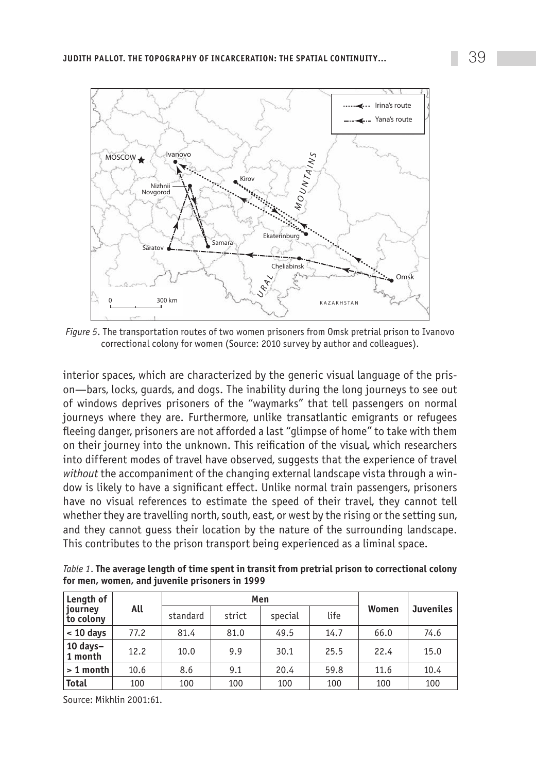

*Figure 5*. The transportation routes of two women prisoners from Omsk pretrial prison to Ivanovo correctional colony for women (Source: 2010 survey by author and colleagues).

interior spaces, which are characterized by the generic visual language of the prison—bars, locks, guards, and dogs. The inability during the long journeys to see out of windows deprives prisoners of the "waymarks" that tell passengers on normal journeys where they are. Furthermore, unlike transatlantic emigrants or refugees fleeing danger, prisoners are not afforded a last "glimpse of home" to take with them on their journey into the unknown. This reification of the visual, which researchers into different modes of travel have observed, suggests that the experience of travel *without* the accompaniment of the changing external landscape vista through a window is likely to have a significant effect. Unlike normal train passengers, prisoners have no visual references to estimate the speed of their travel, they cannot tell whether they are travelling north, south, east, or west by the rising or the setting sun, and they cannot guess their location by the nature of the surrounding landscape. This contributes to the prison transport being experienced as a liminal space.

**Length of journey to colony All Men standard** strict special life **Women** Juveniles **< 10 days** 77.2 81.4 81.0 49.5 14.7 66.0 74.6 **10 days– 1 month** 12.2 10.0 9.9 30.1 25.5 22.4 15.0 **> 1 month** | 10.6 | 8.6 | 9.1 | 20.4 | 59.8 | 11.6 | 10.4 **Total** | 100 | 100 | 100 | 100 | 100 | 100 | 100

*Table 1*. **The average length of time spent in transit from pretrial prison to correctional colony for men, women, and juvenile prisoners in 1999**

Source: Mikhlin 2001:61.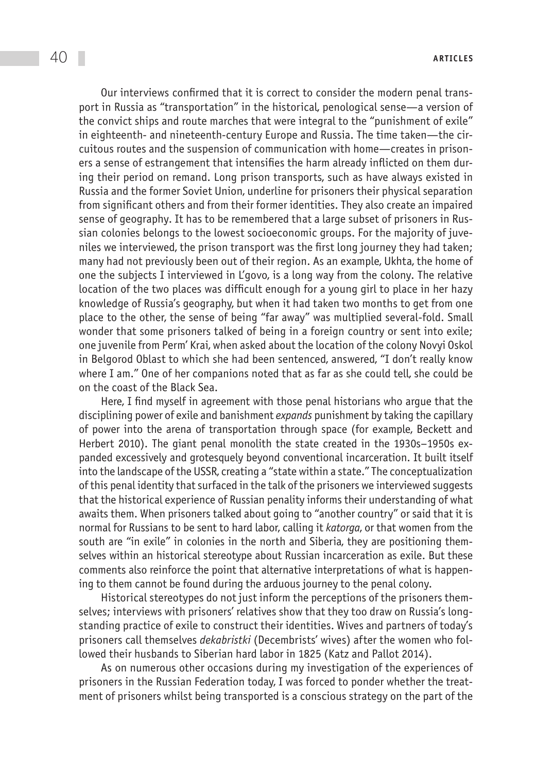Our interviews confirmed that it is correct to consider the modern penal transport in Russia as "transportation" in the historical, penological sense—a version of the convict ships and route marches that were integral to the "punishment of exile" in eighteenth- and nineteenth-century Europe and Russia. The time taken—the circuitous routes and the suspension of communication with home—creates in prisoners a sense of estrangement that intensifies the harm already inflicted on them during their period on remand. Long prison transports, such as have always existed in Russia and the former Soviet Union, underline for prisoners their physical separation from significant others and from their former identities. They also create an impaired sense of geography. It has to be remembered that a large subset of prisoners in Russian colonies belongs to the lowest socioeconomic groups. For the majority of juveniles we interviewed, the prison transport was the first long journey they had taken; many had not previously been out of their region. As an example, Ukhta, the home of one the subjects I interviewed in L'govo, is a long way from the colony. The relative location of the two places was difficult enough for a young girl to place in her hazy knowledge of Russia's geography, but when it had taken two months to get from one place to the other, the sense of being "far away" was multiplied several-fold. Small wonder that some prisoners talked of being in a foreign country or sent into exile; one juvenile from Perm' Krai, when asked about the location of the colony Novyi Oskol in Belgorod Oblast to which she had been sentenced, answered, "I don't really know where I am." One of her companions noted that as far as she could tell, she could be on the coast of the Black Sea.

Here, I find myself in agreement with those penal historians who argue that the disciplining power of exile and banishment *expands* punishment by taking the capillary of power into the arena of transportation through space (for example, Beckett and Herbert 2010). The giant penal monolith the state created in the 1930s–1950s expanded excessively and grotesquely beyond conventional incarceration. It built itself into the landscape of the USSR, creating a "state within a state." The conceptualization of this penal identity that surfaced in the talk of the prisoners we interviewed suggests that the historical experience of Russian penality informs their understanding of what awaits them. When prisoners talked about going to "another country" or said that it is normal for Russians to be sent to hard labor, calling it *katorga*, or that women from the south are "in exile" in colonies in the north and Siberia, they are positioning themselves within an historical stereotype about Russian incarceration as exile. But these comments also reinforce the point that alternative interpretations of what is happening to them cannot be found during the arduous journey to the penal colony.

Historical stereotypes do not just inform the perceptions of the prisoners themselves; interviews with prisoners' relatives show that they too draw on Russia's longstanding practice of exile to construct their identities. Wives and partners of today's prisoners call themselves *dekabristki* (Decembrists' wives) after the women who followed their husbands to Siberian hard labor in 1825 (Katz and Pallot 2014).

As on numerous other occasions during my investigation of the experiences of prisoners in the Russian Federation today, I was forced to ponder whether the treatment of prisoners whilst being transported is a conscious strategy on the part of the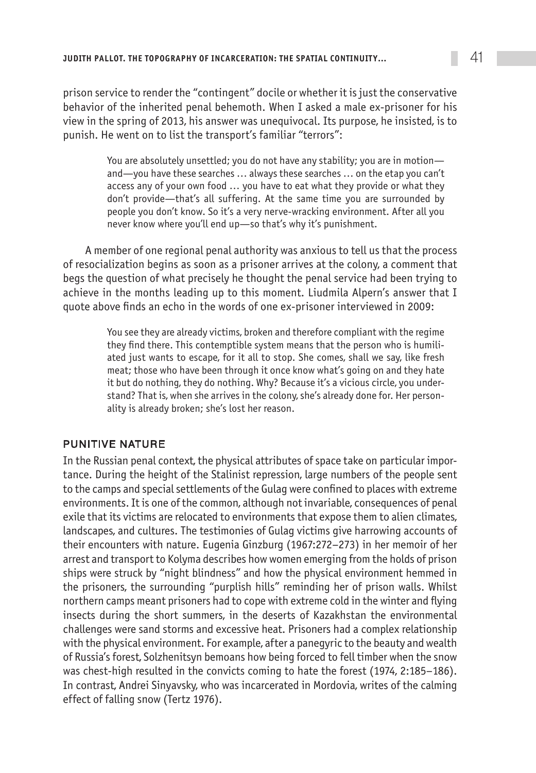prison service to render the "contingent" docile or whether it is just the conservative behavior of the inherited penal behemoth. When I asked a male ex-prisoner for his view in the spring of 2013, his answer was unequivocal. Its purpose, he insisted, is to punish. He went on to list the transport's familiar "terrors":

> You are absolutely unsettled; you do not have any stability; you are in motion and—you have these searches … always these searches … on the etap you can't access any of your own food … you have to eat what they provide or what they don't provide—that's all suffering. At the same time you are surrounded by people you don't know. So it's a very nerve-wracking environment. After all you never know where you'll end up—so that's why it's punishment.

A member of one regional penal authority was anxious to tell us that the process of resocialization begins as soon as a prisoner arrives at the colony, a comment that begs the question of what precisely he thought the penal service had been trying to achieve in the months leading up to this moment. Liudmila Alpern's answer that I quote above finds an echo in the words of one ex-prisoner interviewed in 2009:

> You see they are already victims, broken and therefore compliant with the regime they find there. This contemptible system means that the person who is humiliated just wants to escape, for it all to stop. She comes, shall we say, like fresh meat; those who have been through it once know what's going on and they hate it but do nothing, they do nothing. Why? Because it's a vicious circle, you understand? That is, when she arrives in the colony, she's already done for. Her personality is already broken; she's lost her reason.

#### Punitive nature

In the Russian penal context, the physical attributes of space take on particular importance. During the height of the Stalinist repression, large numbers of the people sent to the camps and special settlements of the Gulag were confined to places with extreme environments. It is one of the common, although not invariable, consequences of penal exile that its victims are relocated to environments that expose them to alien climates, landscapes, and cultures. The testimonies of Gulag victims give harrowing accounts of their encounters with nature. Eugenia Ginzburg (1967:272–273) in her memoir of her arrest and transport to Kolyma describes how women emerging from the holds of prison ships were struck by "night blindness" and how the physical environment hemmed in the prisoners, the surrounding "purplish hills" reminding her of prison walls. Whilst northern camps meant prisoners had to cope with extreme cold in the winter and flying insects during the short summers, in the deserts of Kazakhstan the environmental challenges were sand storms and excessive heat. Prisoners had a complex relationship with the physical environment. For example, after a panegyric to the beauty and wealth of Russia's forest, Solzhenitsyn bemoans how being forced to fell timber when the snow was chest-high resulted in the convicts coming to hate the forest (1974, 2:185–186). In contrast, Andrei Sinyavsky, who was incarcerated in Mordovia, writes of the calming effect of falling snow (Tertz 1976).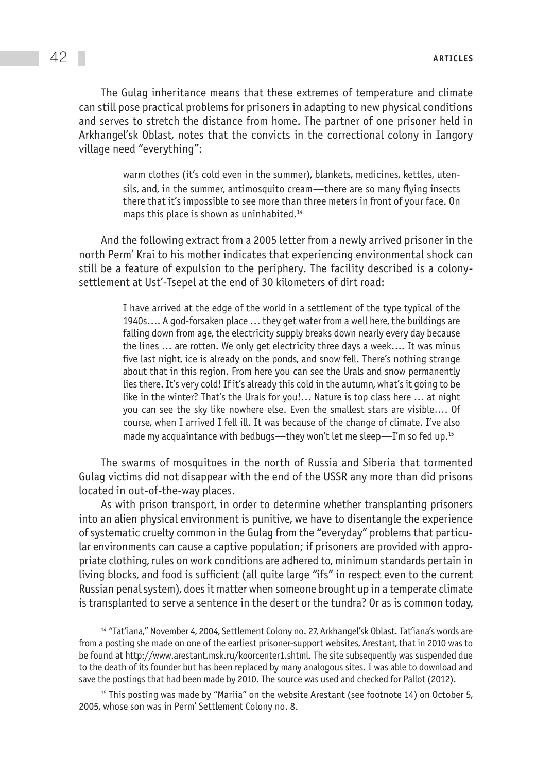The Gulag inheritance means that these extremes of temperature and climate can still pose practical problems for prisoners in adapting to new physical conditions and serves to stretch the distance from home. The partner of one prisoner held in Arkhangel'sk Oblast, notes that the convicts in the correctional colony in Iangory village need "everything":

> warm clothes (it's cold even in the summer), blankets, medicines, kettles, utensils, and, in the summer, antimosquito cream—there are so many flying insects there that it's impossible to see more than three meters in front of your face. On maps this place is shown as uninhabited.<sup>14</sup>

And the following extract from a 2005 letter from a newly arrived prisoner in the north Perm' Krai to his mother indicates that experiencing environmental shock can still be a feature of expulsion to the periphery. The facility described is a colonysettlement at Ust'-Tsepel at the end of 30 kilometers of dirt road:

> I have arrived at the edge of the world in a settlement of the type typical of the 1940s…. A god-forsaken place … they get water from a well here, the buildings are falling down from age, the electricity supply breaks down nearly every day because the lines … are rotten. We only get electricity three days a week…. It was minus five last night, ice is already on the ponds, and snow fell. There's nothing strange about that in this region. From here you can see the Urals and snow permanently lies there. It's very cold! If it's already this cold in the autumn, what's it going to be like in the winter? That's the Urals for you!... Nature is top class here … at night you can see the sky like nowhere else. Even the smallest stars are visible…. Of course, when I arrived I fell ill. It was because of the change of climate. I've also made my acquaintance with bedbugs—they won't let me sleep—I'm so fed up.<sup>15</sup>

The swarms of mosquitoes in the north of Russia and Siberia that tormented Gulag victims did not disappear with the end of the USSR any more than did prisons located in out-of-the-way places.

As with prison transport, in order to determine whether transplanting prisoners into an alien physical environment is punitive, we have to disentangle the experience of systematic cruelty common in the Gulag from the "everyday" problems that particular environments can cause a captive population; if prisoners are provided with appropriate clothing, rules on work conditions are adhered to, minimum standards pertain in living blocks, and food is sufficient (all quite large "ifs" in respect even to the current Russian penal system), does it matter when someone brought up in a temperate climate is transplanted to serve a sentence in the desert or the tundra? Or as is common today,

<sup>&</sup>lt;sup>14</sup> "Tat'iana," November 4, 2004, Settlement Colony no. 27, Arkhangel'sk Oblast. Tat'iana's words are from a posting she made on one of the earliest prisoner-support websites, Arestant, that in 2010 was to be found at http://www.arestant.msk.ru/koorcenter1.shtml. The site subsequently was suspended due to the death of its founder but has been replaced by many analogous sites. I was able to download and save the postings that had been made by 2010. The source was used and checked for Pallot (2012).

<sup>&</sup>lt;sup>15</sup> This posting was made by "Mariia" on the website Arestant (see footnote 14) on October 5, 2005, whose son was in Perm' Settlement Colony no. 8.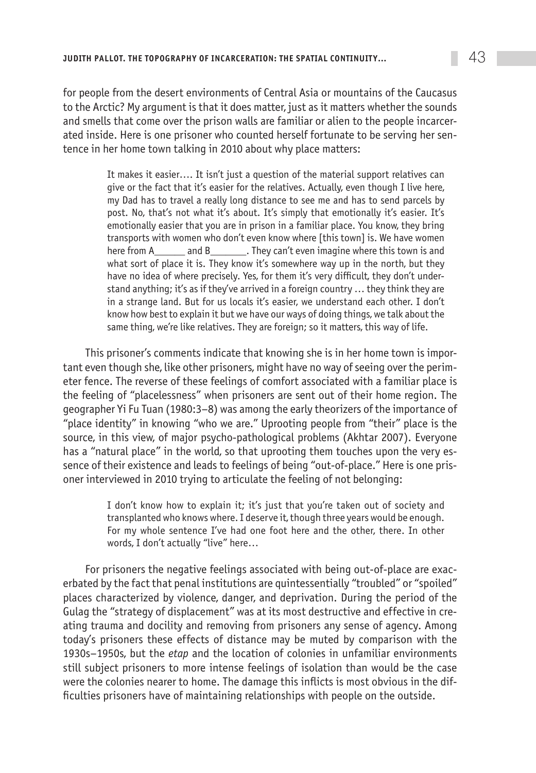for people from the desert environments of Central Asia or mountains of the Caucasus to the Arctic? My argument is that it does matter, just as it matters whether the sounds and smells that come over the prison walls are familiar or alien to the people incarcerated inside. Here is one prisoner who counted herself fortunate to be serving her sentence in her home town talking in 2010 about why place matters:

> It makes it easier…. It isn't just a question of the material support relatives can give or the fact that it's easier for the relatives. Actually, even though I live here, my Dad has to travel a really long distance to see me and has to send parcels by post. No, that's not what it's about. It's simply that emotionally it's easier. It's emotionally easier that you are in prison in a familiar place. You know, they bring transports with women who don't even know where [this town] is. We have women here from A\_\_\_\_\_\_\_ and B\_\_\_\_\_\_\_\_\_. They can't even imagine where this town is and what sort of place it is. They know it's somewhere way up in the north, but they have no idea of where precisely. Yes, for them it's very difficult, they don't understand anything; it's as if they've arrived in a foreign country … they think they are in a strange land. But for us locals it's easier, we understand each other. I don't know how best to explain it but we have our ways of doing things, we talk about the same thing, we're like relatives. They are foreign; so it matters, this way of life.

This prisoner's comments indicate that knowing she is in her home town is important even though she, like other prisoners, might have no way of seeing over the perimeter fence. The reverse of these feelings of comfort associated with a familiar place is the feeling of "placelessness" when prisoners are sent out of their home region. The geographer Yi Fu Tuan (1980:3–8) was among the early theorizers of the importance of "place identity" in knowing "who we are." Uprooting people from "their" place is the source, in this view, of major psycho-pathological problems (Akhtar 2007). Everyone has a "natural place" in the world, so that uprooting them touches upon the very essence of their existence and leads to feelings of being "out-of-place." Here is one prisoner interviewed in 2010 trying to articulate the feeling of not belonging:

> I don't know how to explain it; it's just that you're taken out of society and transplanted who knows where. I deserve it, though three years would be enough. For my whole sentence I've had one foot here and the other, there. In other words, I don't actually "live" here…

For prisoners the negative feelings associated with being out-of-place are exacerbated by the fact that penal institutions are quintessentially "troubled" or "spoiled" places characterized by violence, danger, and deprivation. During the period of the Gulag the "strategy of displacement" was at its most destructive and effective in creating trauma and docility and removing from prisoners any sense of agency. Among today's prisoners these effects of distance may be muted by comparison with the 1930s–1950s, but the *etap* and the location of colonies in unfamiliar environments still subject prisoners to more intense feelings of isolation than would be the case were the colonies nearer to home. The damage this inflicts is most obvious in the difficulties prisoners have of maintaining relationships with people on the outside.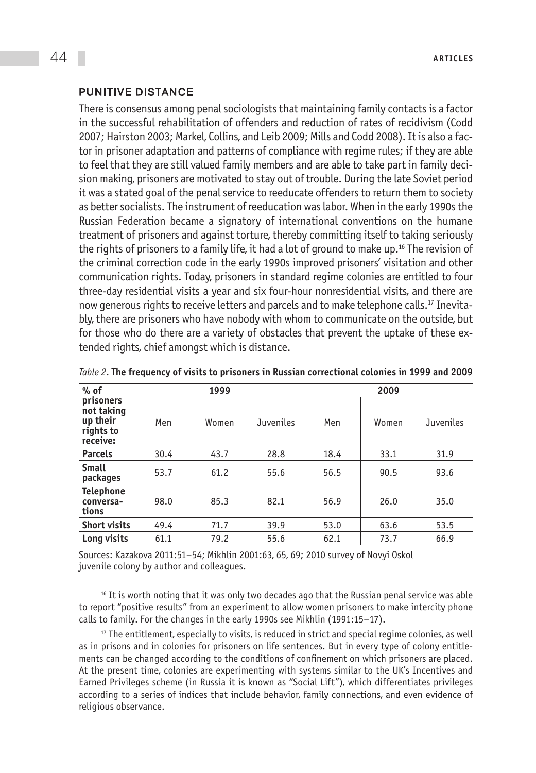#### Punitive distance

There is consensus among penal sociologists that maintaining family contacts is a factor in the successful rehabilitation of offenders and reduction of rates of recidivism (Codd 2007; Hairston 2003; Markel, Collins, and Leib 2009; Mills and Codd 2008). It is also a factor in prisoner adaptation and patterns of compliance with regime rules; if they are able to feel that they are still valued family members and are able to take part in family decision making, prisoners are motivated to stay out of trouble. During the late Soviet period it was a stated goal of the penal service to reeducate offenders to return them to society as better socialists. The instrument of reeducation was labor. When in the early 1990s the Russian Federation became a signatory of international conventions on the humane treatment of prisoners and against torture, thereby committing itself to taking seriously the rights of prisoners to a family life, it had a lot of ground to make up.<sup>16</sup> The revision of the criminal correction code in the early 1990s improved prisoners' visitation and other communication rights. Today, prisoners in standard regime colonies are entitled to four three-day residential visits a year and six four-hour nonresidential visits, and there are now generous rights to receive letters and parcels and to make telephone calls.17 Inevitably, there are prisoners who have nobody with whom to communicate on the outside, but for those who do there are a variety of obstacles that prevent the uptake of these extended rights, chief amongst which is distance.

| $%$ of                                                       | 1999 |       |                  | 2009 |       |           |
|--------------------------------------------------------------|------|-------|------------------|------|-------|-----------|
| prisoners<br>not taking<br>up their<br>rights to<br>receive: | Men  | Women | <b>Juveniles</b> | Men  | Women | Juveniles |
| <b>Parcels</b>                                               | 30.4 | 43.7  | 28.8             | 18.4 | 33.1  | 31.9      |
| <b>Small</b><br>packages                                     | 53.7 | 61.2  | 55.6             | 56.5 | 90.5  | 93.6      |
| <b>Telephone</b><br>conversa-<br>tions                       | 98.0 | 85.3  | 82.1             | 56.9 | 26.0  | 35.0      |
| <b>Short visits</b>                                          | 49.4 | 71.7  | 39.9             | 53.0 | 63.6  | 53.5      |
| Long visits                                                  | 61.1 | 79.2  | 55.6             | 62.1 | 73.7  | 66.9      |

*Table 2*. **The frequency of visits to prisoners in Russian correctional colonies in 1999 and 2009**

Sources: Kazakova 2011:51–54; Mikhlin 2001:63, 65, 69; 2010 survey of Novyi Oskol juvenile colony by author and colleagues.

 $16$  It is worth noting that it was only two decades ago that the Russian penal service was able to report "positive results" from an experiment to allow women prisoners to make intercity phone calls to family. For the changes in the early 1990s see Mikhlin (1991:15–17).

<sup>17</sup> The entitlement, especially to visits, is reduced in strict and special regime colonies, as well as in prisons and in colonies for prisoners on life sentences. But in every type of colony entitlements can be changed according to the conditions of confinement on which prisoners are placed. At the present time, colonies are experimenting with systems similar to the UK's Incentives and Earned Privileges scheme (in Russia it is known as "Social Lift"), which differentiates privileges according to a series of indices that include behavior, family connections, and even evidence of religious observance.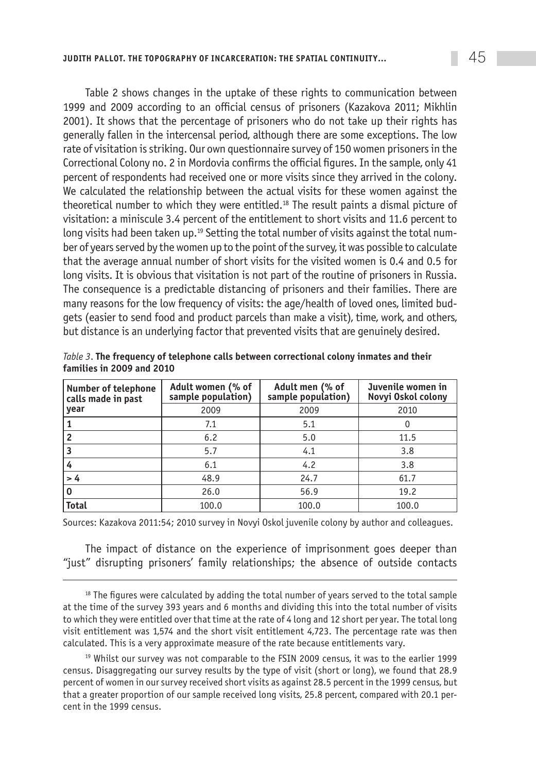Table 2 shows changes in the uptake of these rights to communication between 1999 and 2009 according to an official census of prisoners (Kazakova 2011; Mikhlin 2001). It shows that the percentage of prisoners who do not take up their rights has generally fallen in the intercensal period, although there are some exceptions. The low rate of visitation is striking. Our own questionnaire survey of 150 women prisoners in the Correctional Colony no. 2 in Mordovia confirms the official figures. In the sample, only 41 percent of respondents had received one or more visits since they arrived in the colony. We calculated the relationship between the actual visits for these women against the theoretical number to which they were entitled.<sup>18</sup> The result paints a dismal picture of visitation: a miniscule 3.4 percent of the entitlement to short visits and 11.6 percent to long visits had been taken up.<sup>19</sup> Setting the total number of visits against the total number of years served by the women up to the point of the survey, it was possible to calculate that the average annual number of short visits for the visited women is 0.4 and 0.5 for long visits. It is obvious that visitation is not part of the routine of prisoners in Russia. The consequence is a predictable distancing of prisoners and their families. There are many reasons for the low frequency of visits: the age/health of loved ones, limited budgets (easier to send food and product parcels than make a visit), time, work, and others, but distance is an underlying factor that prevented visits that are genuinely desired.

| <b>Number of telephone</b><br>calls made in past | Adult women (% of<br>sample population) | Adult men (% of<br>sample population) | Juvenile women in<br>Novyi Oskol colony |  |
|--------------------------------------------------|-----------------------------------------|---------------------------------------|-----------------------------------------|--|
| year                                             | 2009                                    | 2009                                  | 2010                                    |  |
|                                                  | 7.1                                     | 5.1                                   |                                         |  |
|                                                  | 6.2                                     | 5.0                                   | 11.5                                    |  |
|                                                  | 5.7                                     | 4.1                                   | 3.8                                     |  |
|                                                  | 6.1                                     | 4.2                                   | 3.8                                     |  |
| > 4                                              | 48.9                                    | 24.7                                  | 61.7                                    |  |
| 0                                                | 26.0                                    | 56.9                                  | 19.2                                    |  |
| <b>Total</b>                                     | 100.0                                   | 100.0                                 | 100.0                                   |  |

*Table 3*. **The frequency of telephone calls between correctional colony inmates and their families in 2009 and 2010** 

Sources: Kazakova 2011:54; 2010 survey in Novyi Oskol juvenile colony by author and colleagues.

The impact of distance on the experience of imprisonment goes deeper than "just" disrupting prisoners' family relationships; the absence of outside contacts

<sup>19</sup> Whilst our survey was not comparable to the FSIN 2009 census, it was to the earlier 1999 census. Disaggregating our survey results by the type of visit (short or long), we found that 28.9 percent of women in our survey received short visits as against 28.5 percent in the 1999 census, but that a greater proportion of our sample received long visits, 25.8 percent, compared with 20.1 percent in the 1999 census.

 $18$  The figures were calculated by adding the total number of years served to the total sample at the time of the survey 393 years and 6 months and dividing this into the total number of visits to which they were entitled over that time at the rate of 4 long and 12 short per year. The total long visit entitlement was 1,574 and the short visit entitlement 4,723. The percentage rate was then calculated. This is a very approximate measure of the rate because entitlements vary.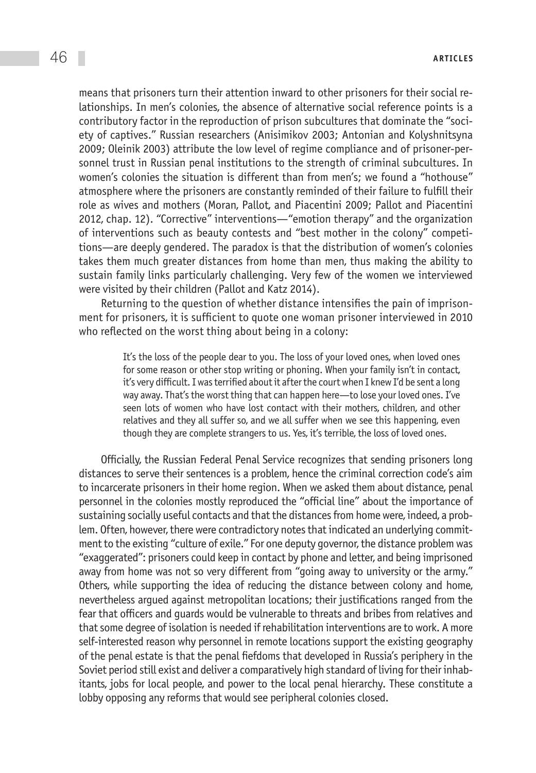means that prisoners turn their attention inward to other prisoners for their social relationships. In men's colonies, the absence of alternative social reference points is a contributory factor in the reproduction of prison subcultures that dominate the "society of captives." Russian researchers (Anisimikov 2003; Antonian and Kolyshnitsyna 2009; Oleinik 2003) attribute the low level of regime compliance and of prisoner-personnel trust in Russian penal institutions to the strength of criminal subcultures. In women's colonies the situation is different than from men's; we found a "hothouse" atmosphere where the prisoners are constantly reminded of their failure to fulfill their role as wives and mothers (Moran, Pallot, and Piacentini 2009; Pallot and Piacentini 2012, chap. 12). "Corrective" interventions—"emotion therapy" and the organization of interventions such as beauty contests and "best mother in the colony" competitions—are deeply gendered. The paradox is that the distribution of women's colonies takes them much greater distances from home than men, thus making the ability to sustain family links particularly challenging. Very few of the women we interviewed were visited by their children (Pallot and Katz 2014).

Returning to the question of whether distance intensifies the pain of imprisonment for prisoners, it is sufficient to quote one woman prisoner interviewed in 2010 who reflected on the worst thing about being in a colony:

> It's the loss of the people dear to you. The loss of your loved ones, when loved ones for some reason or other stop writing or phoning. When your family isn't in contact, it's very difficult. I was terrified about it after the court when I knew I'd be sent a long way away. That's the worst thing that can happen here—to lose your loved ones. I've seen lots of women who have lost contact with their mothers, children, and other relatives and they all suffer so, and we all suffer when we see this happening, even though they are complete strangers to us. Yes, it's terrible, the loss of loved ones.

Officially, the Russian Federal Penal Service recognizes that sending prisoners long distances to serve their sentences is a problem, hence the criminal correction code's aim to incarcerate prisoners in their home region. When we asked them about distance, penal personnel in the colonies mostly reproduced the "official line" about the importance of sustaining socially useful contacts and that the distances from home were, indeed, a problem. Often, however, there were contradictory notes that indicated an underlying commitment to the existing "culture of exile." For one deputy governor, the distance problem was "exaggerated": prisoners could keep in contact by phone and letter, and being imprisoned away from home was not so very different from "going away to university or the army." Others, while supporting the idea of reducing the distance between colony and home, nevertheless argued against metropolitan locations; their justifications ranged from the fear that officers and guards would be vulnerable to threats and bribes from relatives and that some degree of isolation is needed if rehabilitation interventions are to work. A more self-interested reason why personnel in remote locations support the existing geography of the penal estate is that the penal fiefdoms that developed in Russia's periphery in the Soviet period still exist and deliver a comparatively high standard of living for their inhabitants, jobs for local people, and power to the local penal hierarchy. These constitute a lobby opposing any reforms that would see peripheral colonies closed.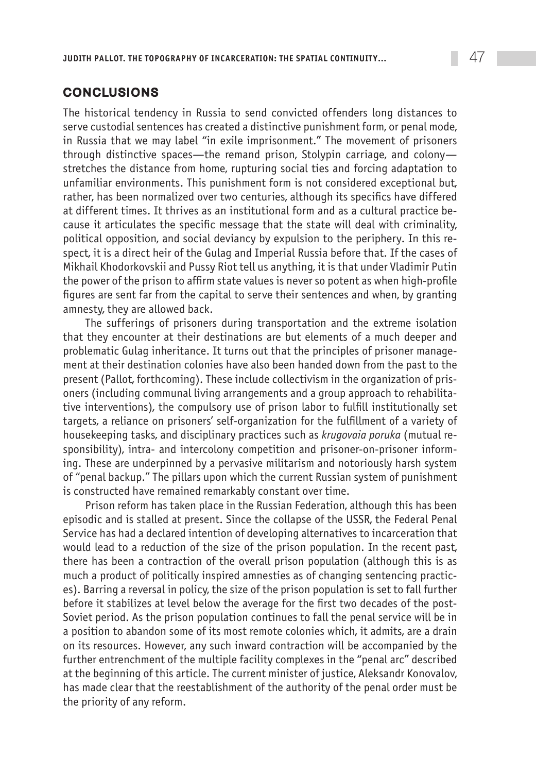## **CONCLUSIONS**

The historical tendency in Russia to send convicted offenders long distances to serve custodial sentences has created a distinctive punishment form, or penal mode, in Russia that we may label "in exile imprisonment." The movement of prisoners through distinctive spaces—the remand prison, Stolypin carriage, and colony stretches the distance from home, rupturing social ties and forcing adaptation to unfamiliar environments. This punishment form is not considered exceptional but, rather, has been normalized over two centuries, although its specifics have differed at different times. It thrives as an institutional form and as a cultural practice because it articulates the specific message that the state will deal with criminality, political opposition, and social deviancy by expulsion to the periphery. In this respect, it is a direct heir of the Gulag and Imperial Russia before that. If the cases of Mikhail Khodorkovskii and Pussy Riot tell us anything, it is that under Vladimir Putin the power of the prison to affirm state values is never so potent as when high-profile figures are sent far from the capital to serve their sentences and when, by granting amnesty, they are allowed back.

The sufferings of prisoners during transportation and the extreme isolation that they encounter at their destinations are but elements of a much deeper and problematic Gulag inheritance. It turns out that the principles of prisoner management at their destination colonies have also been handed down from the past to the present (Pallot, forthcoming). These include collectivism in the organization of prisoners (including communal living arrangements and a group approach to rehabilitative interventions), the compulsory use of prison labor to fulfill institutionally set targets, a reliance on prisoners' self-organization for the fulfillment of a variety of housekeeping tasks, and disciplinary practices such as *krugovaia poruka* (mutual responsibility), intra- and intercolony competition and prisoner-on-prisoner informing. These are underpinned by a pervasive militarism and notoriously harsh system of "penal backup." The pillars upon which the current Russian system of punishment is constructed have remained remarkably constant over time.

Prison reform has taken place in the Russian Federation, although this has been episodic and is stalled at present. Since the collapse of the USSR, the Federal Penal Service has had a declared intention of developing alternatives to incarceration that would lead to a reduction of the size of the prison population. In the recent past, there has been a contraction of the overall prison population (although this is as much a product of politically inspired amnesties as of changing sentencing practices). Barring a reversal in policy, the size of the prison population is set to fall further before it stabilizes at level below the average for the first two decades of the post-Soviet period. As the prison population continues to fall the penal service will be in a position to abandon some of its most remote colonies which, it admits, are a drain on its resources. However, any such inward contraction will be accompanied by the further entrenchment of the multiple facility complexes in the "penal arc" described at the beginning of this article. The current minister of justice, Aleksandr Konovalov, has made clear that the reestablishment of the authority of the penal order must be the priority of any reform.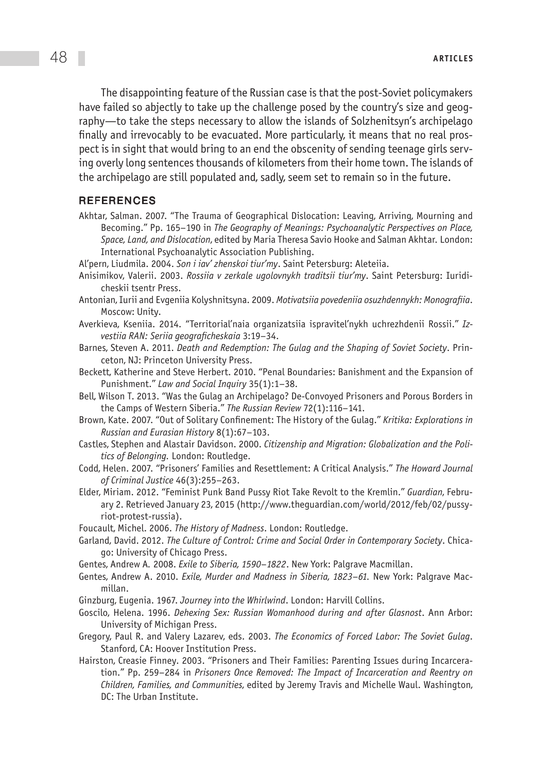The disappointing feature of the Russian case is that the post-Soviet policymakers have failed so abjectly to take up the challenge posed by the country's size and geography—to take the steps necessary to allow the islands of Solzhenitsyn's archipelago finally and irrevocably to be evacuated. More particularly, it means that no real prospect is in sight that would bring to an end the obscenity of sending teenage girls serving overly long sentences thousands of kilometers from their home town. The islands of the archipelago are still populated and, sadly, seem set to remain so in the future.

#### **REFERENCES**

Akhtar, Salman. 2007. "The Trauma of Geographical Dislocation: Leaving, Arriving, Mourning and Becoming." Pp. 165–190 in *The Geography of Meanings: Psychoanalytic Perspectives on Place, Space, Land, and Dislocation*, edited by Maria Theresa Savio Hooke and Salman Akhtar*.* London: International Psychoanalytic Association Publishing.

Al'pern, Liudmila. 2004. *Son i iav' zhenskoi tiur'my*. Saint Petersburg: Aleteiia.

- Anisimikov, Valerii. 2003. *Rossiia v zerkale ugolovnykh traditsii tiur'my*. Saint Petersburg: Iuridicheskii tsentr Press.
- Antonian, Iurii and Evgeniia Kolyshnitsyna. 2009. *Motivatsiia povedeniia osuzhdennykh: Monografiia*. Moscow: Unity.
- Averkieva, Kseniia. 2014. "Territorial'naia organizatsiia ispravitel'nykh uchrezhdenii Rossii." *Izvestiia RAN: Seriia geograficheskaia* 3:19–34.
- Barnes, Steven A. 2011. *Death and Redemption: The Gulag and the Shaping of Soviet Society*. Princeton, NJ: Princeton University Press.
- Beckett, Katherine and Steve Herbert. 2010. "Penal Boundaries: Banishment and the Expansion of Punishment." *Law and Social Inquiry* 35(1):1–38.
- Bell, Wilson T. 2013. "Was the Gulag an Archipelago? De‐Convoyed Prisoners and Porous Borders in the Camps of Western Siberia." *The Russian Review* 72(1):116–141.
- Brown, Kate. 2007. "Out of Solitary Confinement: The History of the Gulag." *Kritika: Explorations in Russian and Eurasian History* 8(1):67–103.
- Castles, Stephen and Alastair Davidson. 2000. *Citizenship and Migration: Globalization and the Politics of Belonging.* London: Routledge.
- Codd, Helen. 2007. "Prisoners' Families and Resettlement: A Critical Analysis." *The Howard Journal of Criminal Justice* 46(3):255–263.
- Elder, Miriam. 2012. "Feminist Punk Band Pussy Riot Take Revolt to the Kremlin." *Guardian*, February 2. Retrieved January 23, 2015 (http://www.theguardian.com/world/2012/feb/02/pussyriot-protest-russia).

Foucault, Michel. 2006. *The History of Madness*. London: Routledge.

- Garland, David. 2012. *The Culture of Control: Crime and Social Order in Contemporary Society*. Chicago: University of Chicago Press.
- Gentes, Andrew A*.* 2008. *Exile to Siberia, 1590*–*1822*. New York: Palgrave Macmillan.
- Gentes, Andrew A. 2010. *Exile, Murder and Madness in Siberia, 1823*–*61.* New York: Palgrave Macmillan.
- Ginzburg, Eugenia. 1967. *Journey into the Whirlwind*. London: Harvill Collins.
- Goscilo, Helena. 1996. *Dehexing Sex: Russian Womanhood during and after Glasnost*. Ann Arbor: University of Michigan Press.
- Gregory, Paul R. and Valery Lazarev, eds. 2003. *The Economics of Forced Labor: The Soviet Gulag*. Stanford, CA: Hoover Institution Press.
- Hairston, Creasie Finney. 2003. "Prisoners and Their Families: Parenting Issues during Incarceration." Pp. 259–284 in *Prisoners Once Removed: The Impact of Incarceration and Reentry on Children, Families, and Communities*, edited by Jeremy Travis and Michelle Waul. Washington, DC: The Urban Institute.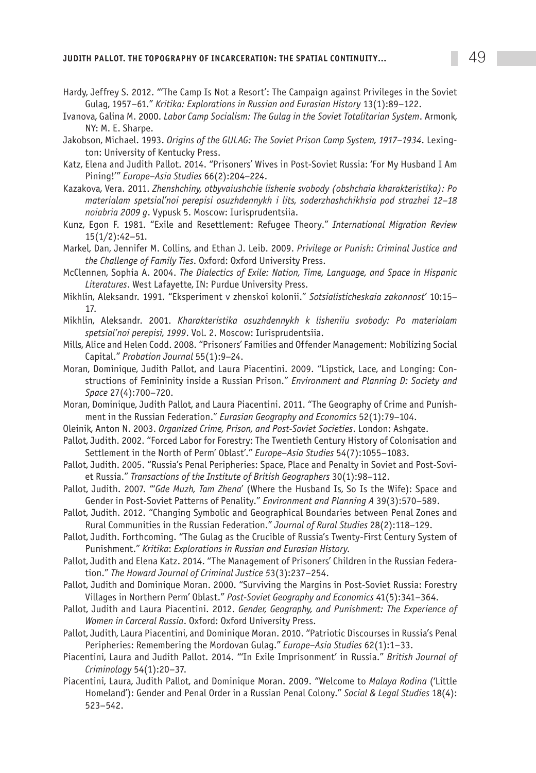- Hardy, Jeffrey S. 2012. "'The Camp Is Not a Resort': The Campaign against Privileges in the Soviet Gulag, 1957–61." *Kritika: Explorations in Russian and Eurasian History* 13(1):89–122.
- Ivanova, Galina M. 2000. *Labor Camp Socialism: The Gulag in the Soviet Totalitarian System*. Armonk, NY: M. E. Sharpe.
- Jakobson, Michael. 1993. *Origins of the GULAG: The Soviet Prison Camp System, 1917–1934*. Lexington: University of Kentucky Press.
- Katz, Elena and Judith Pallot. 2014. "Prisoners' Wives in Post-Soviet Russia: 'For My Husband I Am Pining!'" *Europe–Asia Studies* 66(2):204*–*224.
- Kazakova, Vera. 2011. *Zhenshchiny, otbyvaiushchie lishenie svobody (obshchaia kharakteristika): Po materialam spetsial'noi perepisi osuzhdennykh i lits, soderzhashchikhsia pod strazhei 12–18 noiabria 2009 g*. Vypusk 5. Moscow: Iurisprudentsiia.
- Kunz, Egon F. 1981. "Exile and Resettlement: Refugee Theory." *International Migration Review* 15(1/2):42–51.
- Markel, Dan, Jennifer M. Collins, and Ethan J. Leib. 2009. *Privilege or Punish: Criminal Justice and the Challenge of Family Ties*. Oxford: Oxford University Press.
- McClennen, Sophia A. 2004. *The Dialectics of Exile: Nation, Time, Language, and Space in Hispanic Literatures*. West Lafayette, IN: Purdue University Press.
- Mikhlin, Aleksandr. 1991. "Eksperiment v zhenskoi kolonii." *Sotsialisticheskaia zakonnost'* 10:15*–* 17.
- Mikhlin, Aleksandr. 2001. *Kharakteristika osuzhdennykh k lisheniiu svobody: Po materialam spetsial'noi perepisi, 1999*. Vol. 2. Moscow: Iurisprudentsiia.
- Mills, Alice and Helen Codd. 2008. "Prisoners' Families and Offender Management: Mobilizing Social Capital." *Probation Journal* 55(1):9*–*24.
- Moran, Dominique, Judith Pallot, and Laura Piacentini. 2009. "Lipstick, Lace, and Longing: Constructions of Femininity inside a Russian Prison." *Environment and Planning D: Society and Space* 27(4):700–720.
- Moran, Dominique, Judith Pallot, and Laura Piacentini. 2011. "The Geography of Crime and Punishment in the Russian Federation." *Eurasian Geography and Economics* 52(1):79*–*104.
- Oleinik, Anton N. 2003. *Organized Crime, Prison, and Post-Soviet Societies*. London: Ashgate.
- Pallot, Judith. 2002. "Forced Labor for Forestry: The Twentieth Century History of Colonisation and Settlement in the North of Perm' Oblast'." *Europe–Asia Studies* 54(7):1055–1083.
- Pallot, Judith. 2005. "Russia's Penal Peripheries: Space, Place and Penalty in Soviet and Post-Soviet Russia." *Transactions of the Institute of British Geographers* 30(1):98*–*112.
- Pallot, Judith. 2007. "'*Gde Muzh, Tam Zhena*' (Where the Husband Is, So Is the Wife): Space and Gender in Post-Soviet Patterns of Penality." *Environment and Planning A* 39(3):570–589.
- Pallot, Judith. 2012. "Changing Symbolic and Geographical Boundaries between Penal Zones and Rural Communities in the Russian Federation." *Journal of Rural Studies* 28(2):118*–*129.
- Pallot, Judith. Forthcoming. "The Gulag as the Crucible of Russia's Twenty-First Century System of Punishment." *Kritika*: *Explorations in Russian and Eurasian History.*
- Pallot, Judith and Elena Katz. 2014. "The Management of Prisoners' Children in the Russian Federation." *The Howard Journal of Criminal Justice 5*3(3):237–254.
- Pallot, Judith and Dominique Moran. 2000. "Surviving the Margins in Post-Soviet Russia: Forestry Villages in Northern Perm' Oblast." *Post-Soviet Geography and Economics* 41(5):341–364.
- Pallot, Judith and Laura Piacentini. 2012. *Gender, Geography, and Punishment: The Experience of Women in Carceral Russia*. Oxford: Oxford University Press.
- Pallot, Judith, Laura Piacentini, and Dominique Moran. 2010. "Patriotic Discourses in Russia's Penal Peripheries: Remembering the Mordovan Gulag." *Europe–Asia Studies* 62(1):1–33.
- Piacentini, Laura and Judith Pallot. 2014. "'In Exile Imprisonment' in Russia." *British Journal of Criminology* 54(1):20–37.
- Piacentini, Laura, Judith Pallot, and Dominique Moran. 2009. "Welcome to *Malaya Rodina* ('Little Homeland'): Gender and Penal Order in a Russian Penal Colony." *Social & Legal Studies* 18(4): 523–542.